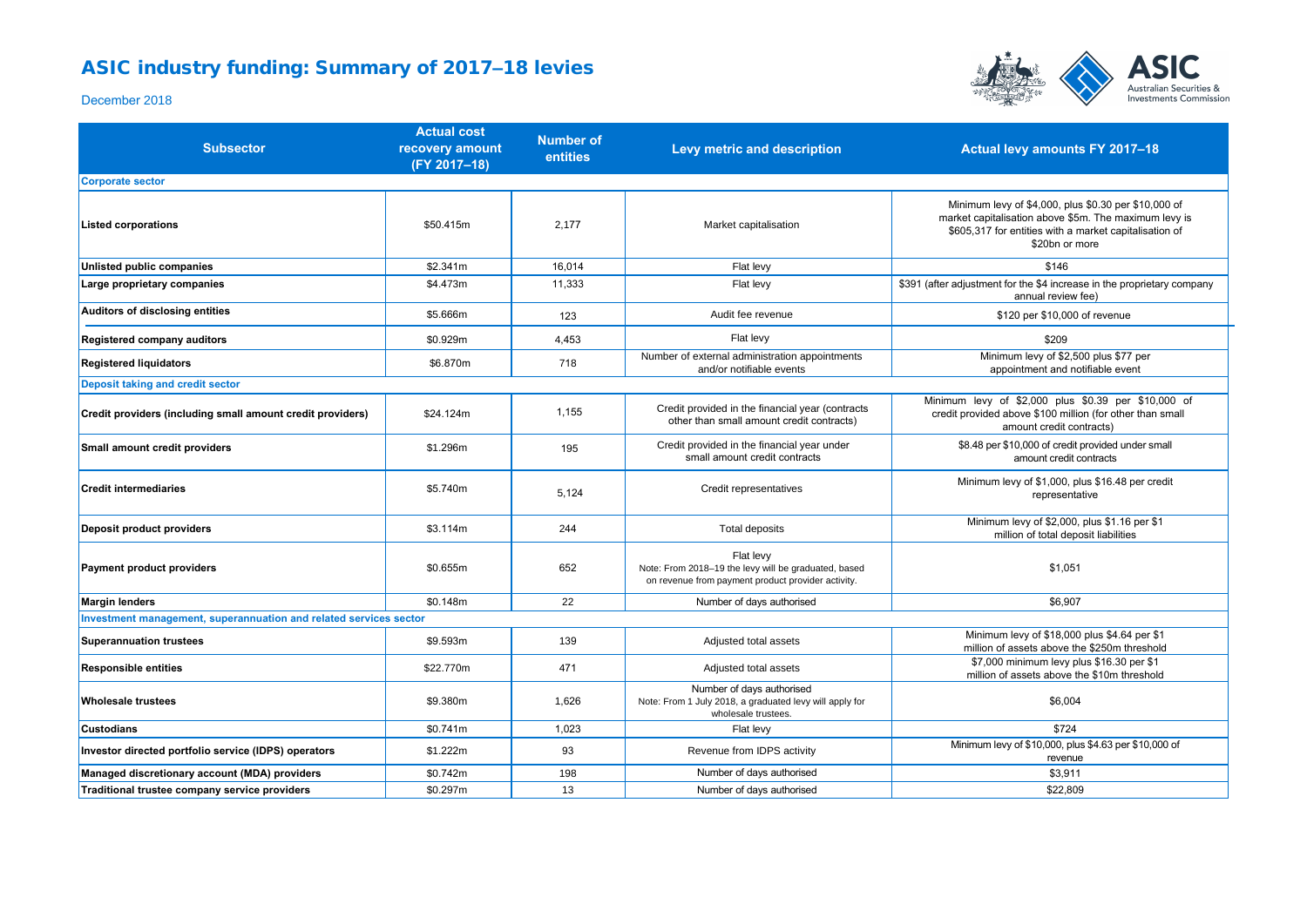## ASIC industry funding: Summary of 2017-18 levies



December 2018

| <b>Subsector</b>                                                  | <b>Actual cost</b><br>recovery amount<br>(FY 2017-18) | <b>Number of</b><br>entities | Levy metric and description                                                                                             | Actual levy amounts FY 2017-18                                                                                                                                                            |
|-------------------------------------------------------------------|-------------------------------------------------------|------------------------------|-------------------------------------------------------------------------------------------------------------------------|-------------------------------------------------------------------------------------------------------------------------------------------------------------------------------------------|
| <b>Corporate sector</b>                                           |                                                       |                              |                                                                                                                         |                                                                                                                                                                                           |
| <b>Listed corporations</b>                                        | \$50.415m                                             | 2,177                        | Market capitalisation                                                                                                   | Minimum levy of \$4,000, plus \$0.30 per \$10,000 of<br>market capitalisation above \$5m. The maximum levy is<br>\$605,317 for entities with a market capitalisation of<br>\$20bn or more |
| <b>Unlisted public companies</b>                                  | \$2.341m                                              | 16,014                       | Flat levy                                                                                                               | \$146                                                                                                                                                                                     |
| Large proprietary companies                                       | \$4.473m                                              | 11,333                       | Flat levy                                                                                                               | \$391 (after adjustment for the \$4 increase in the proprietary company<br>annual review fee)                                                                                             |
| Auditors of disclosing entities                                   | \$5.666m                                              | 123                          | Audit fee revenue                                                                                                       | \$120 per \$10,000 of revenue                                                                                                                                                             |
| Registered company auditors                                       | \$0.929m                                              | 4,453                        | Flat levy                                                                                                               | \$209                                                                                                                                                                                     |
| <b>Registered liquidators</b>                                     | \$6.870m                                              | 718                          | Number of external administration appointments<br>and/or notifiable events                                              | Minimum levy of \$2,500 plus \$77 per<br>appointment and notifiable event                                                                                                                 |
| Deposit taking and credit sector                                  |                                                       |                              |                                                                                                                         |                                                                                                                                                                                           |
| Credit providers (including small amount credit providers)        | \$24.124m                                             | 1,155                        | Credit provided in the financial year (contracts<br>other than small amount credit contracts)                           | Minimum levy of \$2,000 plus \$0.39 per \$10,000 of<br>credit provided above \$100 million (for other than small<br>amount credit contracts)                                              |
| Small amount credit providers                                     | \$1.296m                                              | 195                          | Credit provided in the financial year under<br>small amount credit contracts                                            | \$8.48 per \$10,000 of credit provided under small<br>amount credit contracts                                                                                                             |
| <b>Credit intermediaries</b>                                      | \$5.740m                                              | 5,124                        | Credit representatives                                                                                                  | Minimum levy of \$1,000, plus \$16.48 per credit<br>representative                                                                                                                        |
| Deposit product providers                                         | \$3.114m                                              | 244                          | Total deposits                                                                                                          | Minimum levy of \$2,000, plus \$1.16 per \$1<br>million of total deposit liabilities                                                                                                      |
| <b>Payment product providers</b>                                  | \$0.655m                                              | 652                          | Flat levy<br>Note: From 2018-19 the levy will be graduated, based<br>on revenue from payment product provider activity. | \$1.051                                                                                                                                                                                   |
| <b>Margin lenders</b>                                             | \$0.148m                                              | 22                           | Number of days authorised                                                                                               | \$6,907                                                                                                                                                                                   |
| Investment management, superannuation and related services sector |                                                       |                              |                                                                                                                         |                                                                                                                                                                                           |
| <b>Superannuation trustees</b>                                    | \$9.593m                                              | 139                          | Adjusted total assets                                                                                                   | Minimum levy of \$18,000 plus \$4.64 per \$1<br>million of assets above the \$250m threshold                                                                                              |
| <b>Responsible entities</b>                                       | \$22.770m                                             | 471                          | Adjusted total assets                                                                                                   | \$7,000 minimum levy plus \$16.30 per \$1<br>million of assets above the \$10m threshold                                                                                                  |
| <b>Wholesale trustees</b>                                         | \$9.380m                                              | 1,626                        | Number of days authorised<br>Note: From 1 July 2018, a graduated levy will apply for<br>wholesale trustees.             | \$6,004                                                                                                                                                                                   |
| <b>Custodians</b>                                                 | \$0.741m                                              | 1,023                        | Flat levy                                                                                                               | \$724                                                                                                                                                                                     |
| Investor directed portfolio service (IDPS) operators              | \$1.222m                                              | 93                           | Revenue from IDPS activity                                                                                              | Minimum levy of \$10,000, plus \$4.63 per \$10,000 of<br>revenue                                                                                                                          |
| Managed discretionary account (MDA) providers                     | \$0.742m                                              | 198                          | Number of days authorised                                                                                               | \$3,911                                                                                                                                                                                   |
| Traditional trustee company service providers                     | \$0.297m                                              | 13                           | Number of days authorised                                                                                               | \$22,809                                                                                                                                                                                  |